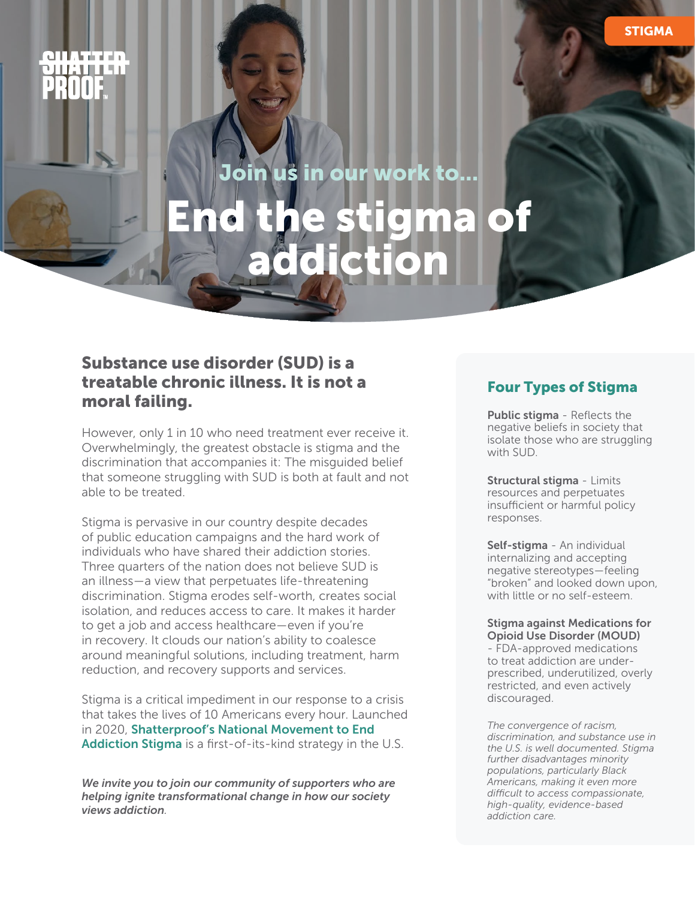Join us in our work to...

# Save lives the same lives of End the stigma o addiction

# Substance use disorder (SUD) is a treatable chronic illness. It is not a moral failing.

However, only 1 in 10 who need treatment ever receive it. Overwhelmingly, the greatest obstacle is stigma and the discrimination that accompanies it: The misguided belief that someone struggling with SUD is both at fault and not able to be treated.

Stigma is pervasive in our country despite decades of public education campaigns and the hard work of individuals who have shared their addiction stories. Three quarters of the nation does not believe SUD is an illness—a view that perpetuates life-threatening discrimination. Stigma erodes self-worth, creates social isolation, and reduces access to care. It makes it harder to get a job and access healthcare—even if you're in recovery. It clouds our nation's ability to coalesce around meaningful solutions, including treatment, harm reduction, and recovery supports and services.

Stigma is a critical impediment in our response to a crisis that takes the lives of 10 Americans every hour. Launched in 2020, [Shatterproof's National Movement to End](https://www.shatterproof.org/sites/default/files/2020-07/A-Movement-to-End-Addiction-Stigma.pdf)  [Addiction Stigma](https://www.shatterproof.org/sites/default/files/2020-07/A-Movement-to-End-Addiction-Stigma.pdf) is a first-of-its-kind strategy in the U.S.

*We invite you to join our community of supporters who are helping ignite transformational change in how our society views addiction.*

### Four Types of Stigma

Public stigma - Reflects the negative beliefs in society that isolate those who are struggling with SUD.

Structural stigma - Limits resources and perpetuates insufficient or harmful policy responses.

Self-stigma - An individual internalizing and accepting negative stereotypes—feeling "broken" and looked down upon, with little or no self-esteem.

#### Stigma against Medications for Opioid Use Disorder (MOUD)

- FDA-approved medications to treat addiction are underprescribed, underutilized, overly restricted, and even actively discouraged.

*The convergence of racism, discrimination, and substance use in the U.S. is well documented. Stigma further disadvantages minority populations, particularly Black Americans, making it even more difficult to access compassionate, high-quality, evidence-based addiction care.*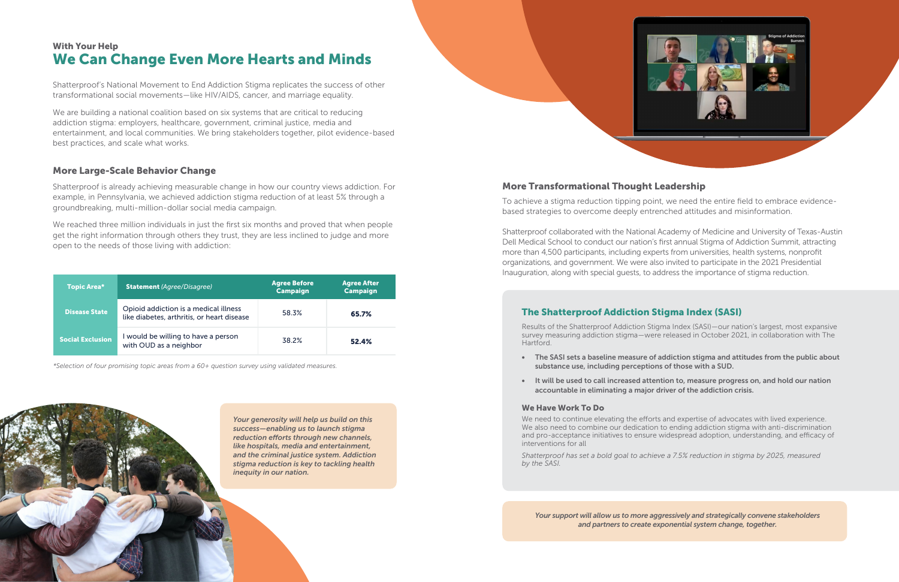Shatterproof's National Movement to End Addiction Stigma replicates the success of other transformational social movements—like HIV/AIDS, cancer, and marriage equality.

We are building a national coalition based on six systems that are critical to reducing addiction stigma: employers, healthcare, government, criminal justice, media and entertainment, and local communities. We bring stakeholders together, pilot evidence-based best practices, and scale what works.

#### More Large-Scale Behavior Change

Shatterproof is already achieving measurable change in how our country views addiction. For example, in Pennsylvania, we achieved addiction stigma reduction of at least 5% through a groundbreaking, multi-million-dollar social media campaign.

We reached three million individuals in just the first six months and proved that when people get the right information through others they trust, they are less inclined to judge and more open to the needs of those living with addiction:

*\*Selection of four promising topic areas from a 60+ question survey using validated measures.*

*Your generosity will help us build on this success—enabling us to launch stigma reduction efforts through new channels, like hospitals, media and entertainment, and the criminal justice system. Addiction stigma reduction is key to tackling health inequity in our nation.*



# We Can Change Even More Hearts and Minds With Your Help

| <b>Topic Area*</b>      | <b>Statement</b> (Agree/Disagree)                                                   | <b>Agree Before</b><br><b>Campaign</b> | <b>Agree After</b><br><b>Campaign</b> |
|-------------------------|-------------------------------------------------------------------------------------|----------------------------------------|---------------------------------------|
| <b>Disease State</b>    | Opioid addiction is a medical illness<br>like diabetes, arthritis, or heart disease | 58.3%                                  | 65.7%                                 |
| <b>Social Exclusion</b> | I would be willing to have a person<br>with OUD as a neighbor                       | 38.2%                                  | 52.4%                                 |

#### More Transformational Thought Leadership

To achieve a stigma reduction tipping point, we need the entire field to embrace evidencebased strategies to overcome deeply entrenched attitudes and misinformation.

Shatterproof collaborated with the National Academy of Medicine and University of Texas-Austin Dell Medical School to conduct our nation's first annual Stigma of Addiction Summit, attracting more than 4,500 participants, including experts from universities, health systems, nonprofit organizations, and government. We were also invited to participate in the 2021 Presidential Inauguration, along with special guests, to address the importance of stigma reduction.

# The Shatterproof Addiction Stigma Index (SASI)

Results of the Shatterproof Addiction Stigma Index (SASI)—our nation's largest, most expansive survey measuring addiction stigma—were released in October 2021, in collaboration with The Hartford.

• The SASI sets a baseline measure of addiction stigma and attitudes from the public about

• It will be used to call increased attention to, measure progress on, and hold our nation

- substance use, including perceptions of those with a SUD.
- accountable in eliminating a major driver of the addiction crisis.

#### We Have Work To Do

We need to continue elevating the efforts and expertise of advocates with lived experience. We also need to combine our dedication to ending addiction stigma with anti-discrimination and pro-acceptance initiatives to ensure widespread adoption, understanding, and efficacy of interventions for all

*Shatterproof has set a bold goal to achieve a 7.5% reduction in stigma by 2025, measured by the SASI.*

*Your support will allow us to more aggressively and strategically convene stakeholders and partners to create exponential system change, together.*